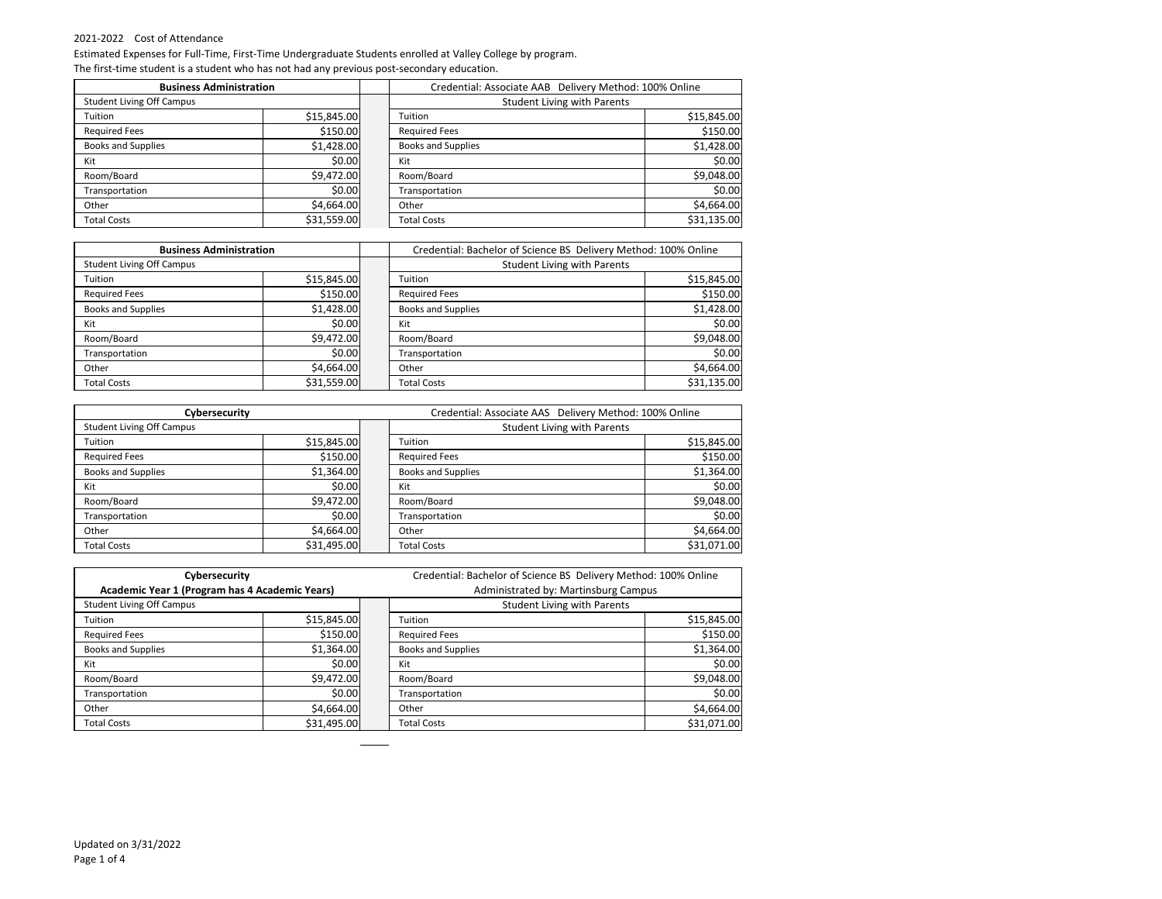| <b>Business Administration</b>   |             | Credential: Associate AAB Delivery Method: 100% Online |                                    |             |
|----------------------------------|-------------|--------------------------------------------------------|------------------------------------|-------------|
| <b>Student Living Off Campus</b> |             |                                                        | <b>Student Living with Parents</b> |             |
| Tuition                          | \$15,845.00 |                                                        | Tuition                            | \$15,845.00 |
| <b>Required Fees</b>             | \$150.00    |                                                        | <b>Required Fees</b>               | \$150.00    |
| <b>Books and Supplies</b>        | \$1,428.00  |                                                        | <b>Books and Supplies</b>          | \$1,428.00  |
| Kit                              | \$0.00      |                                                        | Kit                                | \$0.00      |
| Room/Board                       | \$9,472.00  |                                                        | Room/Board                         | \$9,048.00  |
| Transportation                   | \$0.00      |                                                        | Transportation                     | \$0.00      |
| Other                            | \$4,664.00  |                                                        | Other                              | \$4,664.00  |
| <b>Total Costs</b>               | \$31,559.00 |                                                        | <b>Total Costs</b>                 | \$31,135.00 |

| <b>Business Administration</b>   |             | Credential: Bachelor of Science BS Delivery Method: 100% Online |             |  |
|----------------------------------|-------------|-----------------------------------------------------------------|-------------|--|
| <b>Student Living Off Campus</b> |             | <b>Student Living with Parents</b>                              |             |  |
| Tuition                          | \$15,845.00 | Tuition                                                         | \$15,845.00 |  |
| <b>Required Fees</b>             | \$150.00    | <b>Required Fees</b>                                            | \$150.00    |  |
| <b>Books and Supplies</b>        | \$1,428.00  | <b>Books and Supplies</b>                                       | \$1,428.00  |  |
| Kit                              | \$0.00      | Kit                                                             | \$0.00      |  |
| Room/Board                       | \$9,472.00  | Room/Board                                                      | \$9,048.00  |  |
| Transportation                   | \$0.00      | Transportation                                                  | \$0.00      |  |
| Other                            | \$4,664.00  | Other                                                           | \$4,664.00  |  |
| <b>Total Costs</b>               | \$31,559.00 | <b>Total Costs</b>                                              | \$31,135.00 |  |

| Cybersecurity                    |             |  | Credential: Associate AAS Delivery Method: 100% Online |             |  |
|----------------------------------|-------------|--|--------------------------------------------------------|-------------|--|
| <b>Student Living Off Campus</b> |             |  | <b>Student Living with Parents</b>                     |             |  |
| Tuition                          | \$15,845.00 |  | Tuition                                                | \$15,845.00 |  |
| <b>Required Fees</b>             | \$150.00    |  | <b>Required Fees</b>                                   | \$150.00    |  |
| <b>Books and Supplies</b>        | \$1,364.00  |  | <b>Books and Supplies</b>                              | \$1,364.00  |  |
| Kit                              | \$0.00      |  | Kit                                                    | \$0.00      |  |
| Room/Board                       | \$9,472.00  |  | Room/Board                                             | \$9,048.00  |  |
| Transportation                   | \$0.00      |  | Transportation                                         | \$0.00      |  |
| Other                            | \$4,664.00  |  | Other                                                  | \$4,664.00  |  |
| <b>Total Costs</b>               | \$31,495.00 |  | <b>Total Costs</b>                                     | \$31,071.00 |  |

| Cybersecurity                                  |             | Credential: Bachelor of Science BS Delivery Method: 100% Online |             |  |
|------------------------------------------------|-------------|-----------------------------------------------------------------|-------------|--|
| Academic Year 1 (Program has 4 Academic Years) |             | Administrated by: Martinsburg Campus                            |             |  |
| <b>Student Living Off Campus</b>               |             | <b>Student Living with Parents</b>                              |             |  |
| Tuition                                        | \$15,845.00 | Tuition                                                         | \$15,845.00 |  |
| <b>Required Fees</b>                           | \$150.00    | <b>Required Fees</b>                                            | \$150.00    |  |
| <b>Books and Supplies</b>                      | \$1,364.00  | <b>Books and Supplies</b>                                       | \$1,364.00  |  |
| Kit                                            | \$0.00      | Kit                                                             | \$0.00      |  |
| Room/Board                                     | \$9,472.00  | Room/Board                                                      | \$9,048.00  |  |
| Transportation                                 | \$0.00      | Transportation                                                  | \$0.00      |  |
| Other                                          | \$4,664.00  | Other                                                           | \$4,664.00  |  |
| <b>Total Costs</b>                             | \$31,495.00 | <b>Total Costs</b>                                              | \$31,071.00 |  |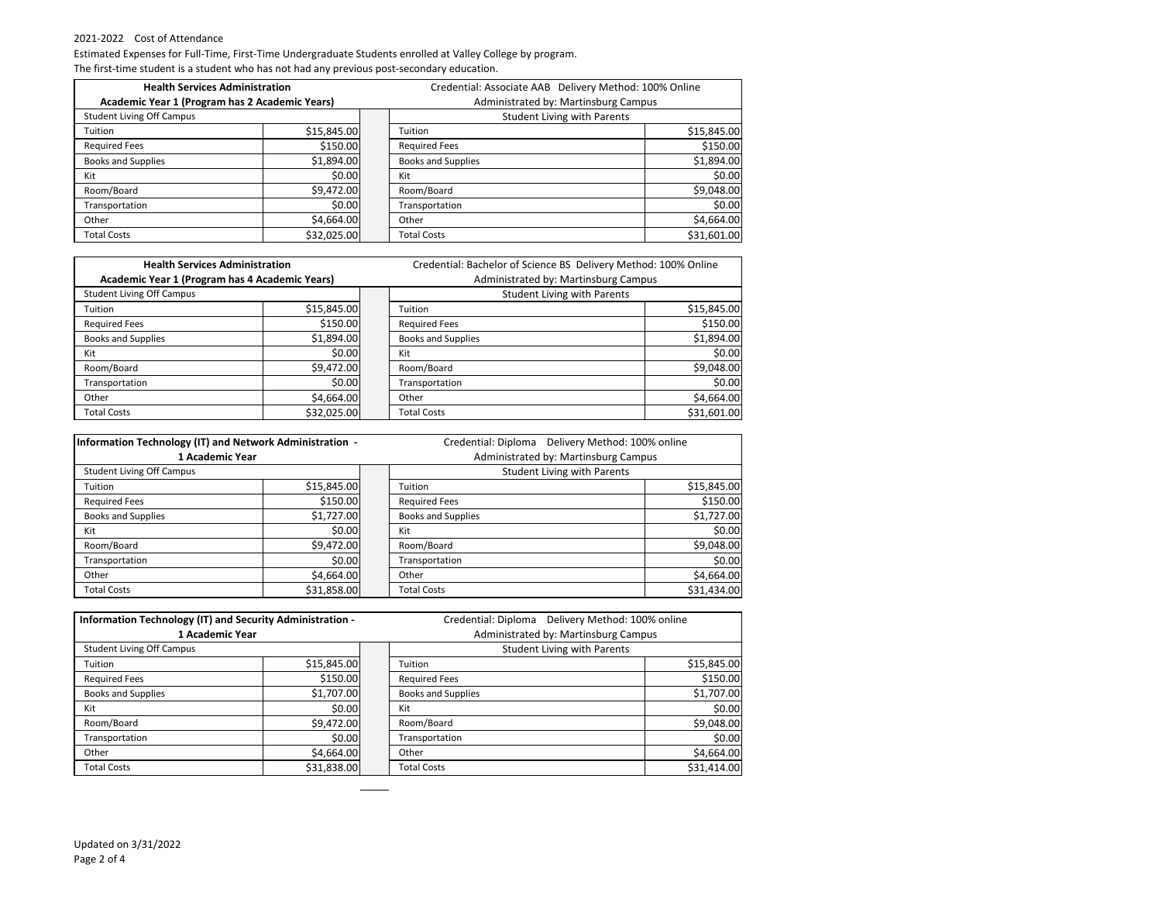| <b>Health Services Administration</b>          |             |  | Credential: Associate AAB Delivery Method: 100% Online |                                      |             |
|------------------------------------------------|-------------|--|--------------------------------------------------------|--------------------------------------|-------------|
| Academic Year 1 (Program has 2 Academic Years) |             |  |                                                        | Administrated by: Martinsburg Campus |             |
| <b>Student Living Off Campus</b>               |             |  | <b>Student Living with Parents</b>                     |                                      |             |
| Tuition                                        | \$15,845.00 |  | Tuition                                                |                                      | \$15,845.00 |
| <b>Required Fees</b>                           | \$150.00    |  | <b>Required Fees</b>                                   |                                      | \$150.00    |
| <b>Books and Supplies</b>                      | \$1,894.00  |  | <b>Books and Supplies</b>                              |                                      | \$1,894.00  |
| Kit                                            | \$0.00      |  | Kit                                                    |                                      | \$0.00      |
| Room/Board                                     | \$9,472.00  |  | Room/Board                                             |                                      | \$9,048.00  |
| Transportation                                 | \$0.00      |  | Transportation                                         |                                      | \$0.00      |
| Other                                          | \$4,664.00  |  | Other                                                  |                                      | \$4,664.00  |
| <b>Total Costs</b>                             | \$32,025.00 |  | <b>Total Costs</b>                                     |                                      | \$31,601.00 |

| <b>Health Services Administration</b>          |             | Credential: Bachelor of Science BS Delivery Method: 100% Online |             |  |
|------------------------------------------------|-------------|-----------------------------------------------------------------|-------------|--|
| Academic Year 1 (Program has 4 Academic Years) |             | Administrated by: Martinsburg Campus                            |             |  |
| <b>Student Living Off Campus</b>               |             | <b>Student Living with Parents</b>                              |             |  |
| Tuition                                        | \$15,845.00 | Tuition                                                         | \$15,845.00 |  |
| <b>Required Fees</b>                           | \$150.00    | <b>Required Fees</b>                                            | \$150.00    |  |
| <b>Books and Supplies</b>                      | \$1,894.00  | <b>Books and Supplies</b>                                       | \$1,894.00  |  |
| Kit                                            | \$0.00      | Kit                                                             | \$0.00      |  |
| Room/Board                                     | \$9,472.00  | Room/Board                                                      | \$9,048.00  |  |
| Transportation                                 | \$0.00      | Transportation                                                  | \$0.00      |  |
| Other                                          | \$4,664.00  | Other                                                           | \$4,664.00  |  |
| <b>Total Costs</b>                             | \$32,025.00 | <b>Total Costs</b>                                              | \$31,601.00 |  |

| Information Technology (IT) and Network Administration - |             | Credential: Diploma                | Delivery Method: 100% online |
|----------------------------------------------------------|-------------|------------------------------------|------------------------------|
| Administrated by: Martinsburg Campus<br>1 Academic Year  |             |                                    |                              |
| <b>Student Living Off Campus</b>                         |             | <b>Student Living with Parents</b> |                              |
| Tuition                                                  | \$15,845.00 | Tuition                            | \$15,845.00                  |
| <b>Required Fees</b>                                     | \$150.00    | <b>Required Fees</b>               | \$150.00                     |
| <b>Books and Supplies</b>                                | \$1,727.00  | <b>Books and Supplies</b>          | \$1,727.00                   |
| Kit                                                      | \$0.00      | Kit                                | \$0.00                       |
| Room/Board                                               | \$9,472.00  | Room/Board                         | \$9,048.00                   |
| Transportation                                           | \$0.00      | Transportation                     | \$0.00                       |
| Other                                                    | \$4,664.00  | Other                              | \$4,664.00                   |
| <b>Total Costs</b>                                       | \$31,858.00 | <b>Total Costs</b>                 | \$31,434.00                  |

| Information Technology (IT) and Security Administration - |             |  | Delivery Method: 100% online<br>Credential: Diploma |             |  |
|-----------------------------------------------------------|-------------|--|-----------------------------------------------------|-------------|--|
| 1 Academic Year                                           |             |  | Administrated by: Martinsburg Campus                |             |  |
| <b>Student Living Off Campus</b>                          |             |  | <b>Student Living with Parents</b>                  |             |  |
| Tuition                                                   | \$15,845.00 |  | Tuition                                             | \$15,845.00 |  |
| <b>Required Fees</b>                                      | \$150.00    |  | <b>Required Fees</b>                                | \$150.00    |  |
| <b>Books and Supplies</b>                                 | \$1,707.00  |  | <b>Books and Supplies</b>                           | \$1,707.00  |  |
| Kit                                                       | \$0.00      |  | Kit                                                 | \$0.00      |  |
| Room/Board                                                | \$9,472.00  |  | Room/Board                                          | \$9,048.00  |  |
| Transportation                                            | \$0.00      |  | Transportation                                      | \$0.00      |  |
| Other                                                     | \$4,664.00  |  | Other                                               | \$4,664.00  |  |
| <b>Total Costs</b>                                        | \$31,838.00 |  | <b>Total Costs</b>                                  | \$31,414.00 |  |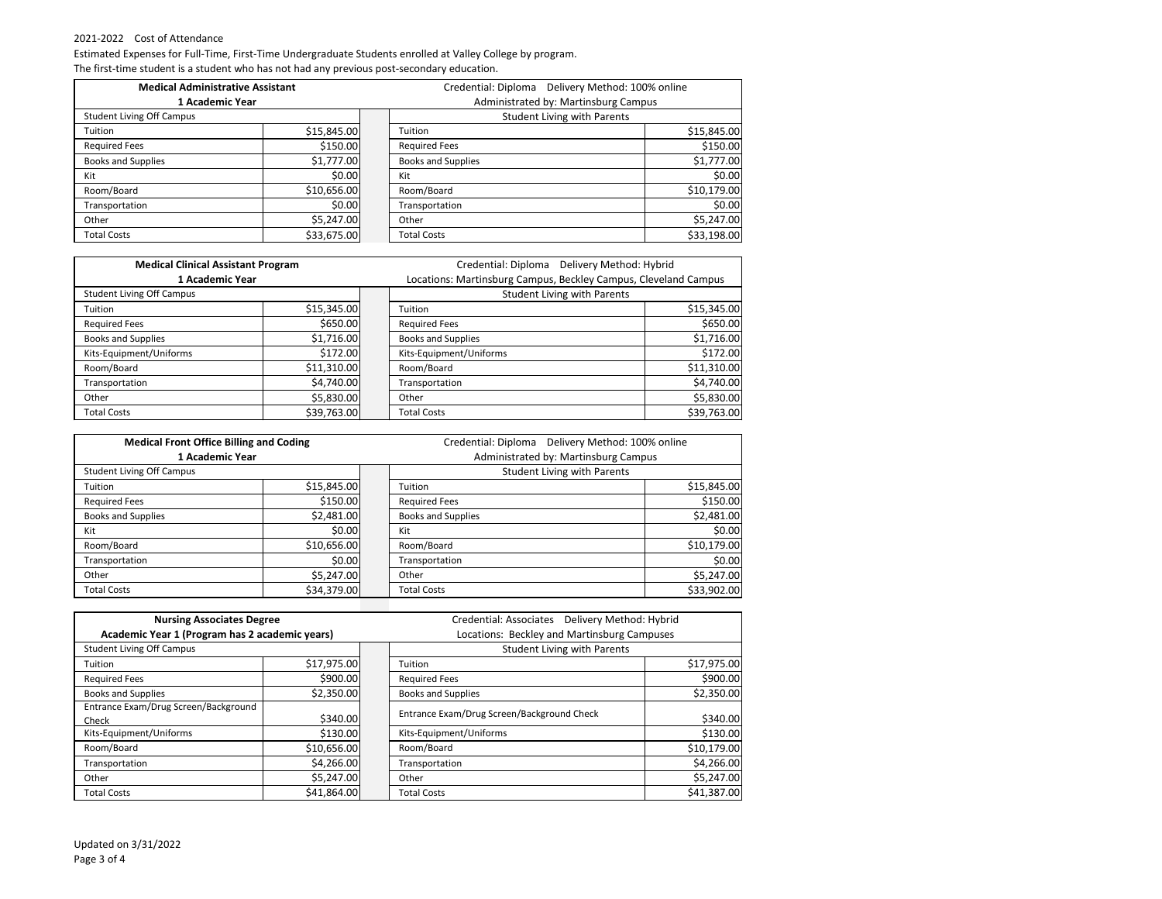| <b>Medical Administrative Assistant</b> |             |  | Delivery Method: 100% online<br>Credential: Diploma |             |  |
|-----------------------------------------|-------------|--|-----------------------------------------------------|-------------|--|
| 1 Academic Year                         |             |  | Administrated by: Martinsburg Campus                |             |  |
| <b>Student Living Off Campus</b>        |             |  | <b>Student Living with Parents</b>                  |             |  |
| Tuition                                 | \$15,845.00 |  | Tuition                                             | \$15,845.00 |  |
| <b>Required Fees</b>                    | \$150.00    |  | <b>Required Fees</b>                                | \$150.00    |  |
| <b>Books and Supplies</b>               | \$1,777.00  |  | <b>Books and Supplies</b>                           | \$1,777.00  |  |
| Kit                                     | \$0.00      |  | Kit                                                 | \$0.00      |  |
| Room/Board                              | \$10,656.00 |  | Room/Board                                          | \$10,179.00 |  |
| Transportation                          | \$0.00      |  | <b>Transportation</b>                               | \$0.00      |  |
| Other                                   | \$5,247.00  |  | Other                                               | \$5,247.00  |  |
| <b>Total Costs</b>                      | \$33,675.00 |  | <b>Total Costs</b>                                  | \$33,198.00 |  |

| <b>Medical Clinical Assistant Program</b> |             | Credential: Diploma Delivery Method: Hybrid                     |             |  |
|-------------------------------------------|-------------|-----------------------------------------------------------------|-------------|--|
| 1 Academic Year                           |             | Locations: Martinsburg Campus, Beckley Campus, Cleveland Campus |             |  |
| <b>Student Living Off Campus</b>          |             | <b>Student Living with Parents</b>                              |             |  |
| Tuition                                   | \$15,345.00 | Tuition                                                         | \$15,345.00 |  |
| <b>Required Fees</b>                      | \$650.00    | <b>Required Fees</b>                                            | \$650.00    |  |
| <b>Books and Supplies</b>                 | \$1,716.00  | <b>Books and Supplies</b>                                       | \$1,716.00  |  |
| Kits-Equipment/Uniforms                   | \$172.00    | Kits-Equipment/Uniforms                                         | \$172.00    |  |
| Room/Board                                | \$11,310.00 | Room/Board                                                      | \$11,310.00 |  |
| Transportation                            | \$4,740.00  | Transportation                                                  | \$4,740.00  |  |
| Other                                     | \$5,830.00  | Other                                                           | \$5,830.00  |  |
| <b>Total Costs</b>                        | \$39,763.00 | <b>Total Costs</b>                                              | \$39,763.00 |  |

| <b>Medical Front Office Billing and Coding</b> |             |  | Delivery Method: 100% online<br>Credential: Diploma |             |
|------------------------------------------------|-------------|--|-----------------------------------------------------|-------------|
| 1 Academic Year                                |             |  | Administrated by: Martinsburg Campus                |             |
| <b>Student Living Off Campus</b>               |             |  | <b>Student Living with Parents</b>                  |             |
| Tuition                                        | \$15,845.00 |  | Tuition                                             | \$15,845.00 |
| <b>Required Fees</b>                           | \$150.00    |  | <b>Required Fees</b>                                | \$150.00    |
| <b>Books and Supplies</b>                      | \$2,481.00  |  | <b>Books and Supplies</b>                           | \$2,481.00  |
| Kit                                            | \$0.00      |  | Kit                                                 | \$0.00      |
| Room/Board                                     | \$10,656.00 |  | Room/Board                                          | \$10,179.00 |
| Transportation                                 | \$0.00      |  | Transportation                                      | \$0.00      |
| Other                                          | \$5,247.00  |  | Other                                               | \$5,247.00  |
| <b>Total Costs</b>                             | \$34,379.00 |  | <b>Total Costs</b>                                  | \$33,902.00 |

| <b>Nursing Associates Degree</b>                                                   |             |                                    | Credential: Associates  Delivery Method: Hybrid<br>Locations: Beckley and Martinsburg Campuses |             |  |
|------------------------------------------------------------------------------------|-------------|------------------------------------|------------------------------------------------------------------------------------------------|-------------|--|
| Academic Year 1 (Program has 2 academic years)<br><b>Student Living Off Campus</b> |             | <b>Student Living with Parents</b> |                                                                                                |             |  |
| Tuition                                                                            | \$17,975.00 |                                    | Tuition                                                                                        | \$17,975.00 |  |
| <b>Required Fees</b>                                                               | \$900.00    |                                    | <b>Required Fees</b>                                                                           | \$900.00    |  |
| <b>Books and Supplies</b>                                                          | \$2,350.00  |                                    | <b>Books and Supplies</b>                                                                      | \$2,350.00  |  |
| Entrance Exam/Drug Screen/Background<br>Check                                      | \$340.00    |                                    | Entrance Exam/Drug Screen/Background Check                                                     | \$340.00    |  |
| Kits-Equipment/Uniforms                                                            | \$130.00    |                                    | Kits-Equipment/Uniforms                                                                        | \$130.00    |  |
| Room/Board                                                                         | \$10,656.00 |                                    | Room/Board                                                                                     | \$10,179.00 |  |
| Transportation                                                                     | \$4,266.00  |                                    | Transportation                                                                                 | \$4,266.00  |  |
| Other                                                                              | \$5,247.00  |                                    | Other                                                                                          | \$5,247.00  |  |
| <b>Total Costs</b>                                                                 | \$41,864.00 |                                    | <b>Total Costs</b>                                                                             | \$41,387.00 |  |